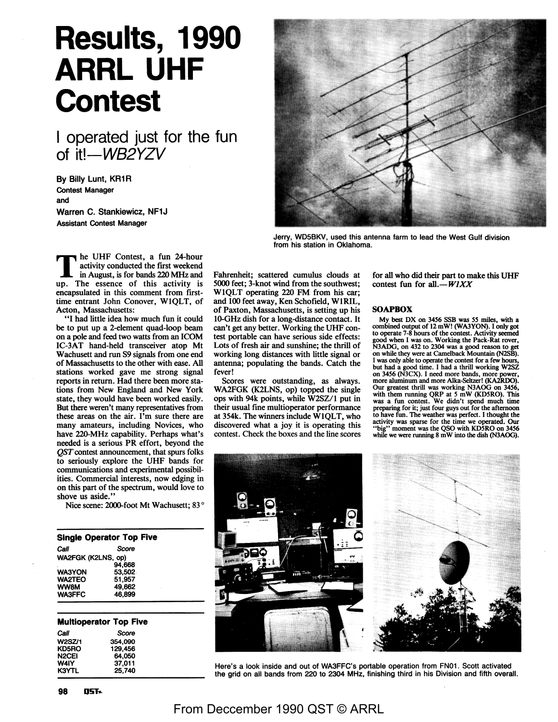# **Results, 1990 ARRL UHF Contest**

I operated just for the fun of it!-WB2YZV

By Billy Lunt, KR1R Contest Manager and Warren C. Stankiewicz, NF1J

Assistant Contest Manager



Jerry, WD5BKV, used this antenna farm to lead the West Gulf division

from his station in Oklahoma.<br>
activity conducted the first weekend<br>
in August is for bands 220 MHz and Eabrepheit: scattered cumulus clouds at in August, is for bands 220 MHz and up. The essence of this activity is encapsulated in this comment from firsttime entrant John Conover, WIQLT, of Acton, Massachusetts:

"I had little idea how much fun it could be to put up a 2-element quad-loop beam on a pole and feed two watts from an ICOM IC-3AT hand-held transceiver atop Mt Wachusett and run S9 signals from one end of Massachusetts to the other with ease. All stations worked gave me strong signal reports in return. Had there been more stations from New England and New York state, they would have been worked easily. But there weren't many representatives from these areas on the air. I'm sure there are many amateurs, including Novices, who have 220-MHz capability. Perhaps what's needed is a serious **PR** effort, beyond the *QST* contest announcement, that spurs folks to seriously explore the UHF bands for communications and experimental possibilities. Commercial interests, now edging in on this part of the spectrum, would love to shove us aside.'

Nice scene: 2000-foot Mt Wachusett; 83 °

**Single Operator Top Five**  Call Score WA2FGK (K2LNS, op) WA3YON WA2TEO **WWBM**  WA3FFC 94,668 53,502 51,957 49,662 46,899

#### **Multioperator Top Five**

| Call   | Score   |
|--------|---------|
| W2SZ/1 | 354.090 |
| KD5RO  | 129.456 |
| N2CEI  | 64.050  |
| W4IY   | 37.011  |
| K3YTL  | 25.740  |

Fahrenheit; scattered cumulus clouds at 5000 feet; 3-knot wind from the southwest; WIQLT operating 220 FM from his car; and 100 feet away, Ken Schofield, WIRIL, of Paxton, Massachusetts, is setting up his IO-GHz dish for a long-distance contact. It can't get any better. Working the UHF contest portable can have serious side effects: Lots of fresh air and sunshine; the thrill of working long distances with little signal or antenna; populating the bands. Catch the fever!

Scores were outstanding, as always. WA2FGK (K2LNS, op) topped the single ops with 94k points, while W2SZ/l put in their usual fine multioperator performance at 354k. The winners include WIQLT, who discovered what a joy it is operating this contest. Check the boxes and the line scores

for all who did their part to make this UHF contest fun for all. $-WIXX$ 

#### **SOAPBOX**

My best DX on 3456 SSB was *55* miles, with a combined output of 12 mW! (WA3YON). I only got to operate 7-8 hours of the contest. Activity seemed good when I was on. Working the Pack-Rat rover, N3ADG, on 432 to 2304 was a good reason to get on while they were at Camelback Mountain (N2SB). I was only able to operate the contest for a few hours, but had a good time. I had a thrill working W2SZ on 3456 (N3CX). I need more bands, more power, more aluminum and more Alka-Seltzer! (KA2RDO). Our greatest thrill was working N3AOG on 3456, with them running QRP at 5 mW (KD5RO). This was a fun contest. We didn't spend much time preparing for it; just four guys out for the afternoon to have fun. The weather was perfect. I thought the activity was sparse for the time we operated. Our 'big" moment was the QSO with KD5RO on 3456 while we were running 8 mW into the dish (N3AOG).



Here's a look inside and out of WA3FFC's portable operation from FN01. Scott activated the grid on all bands from 220 to 2304 MHz, finishing third in his Division and fifth overall.

## From Deccember 1990 QST © ARRL